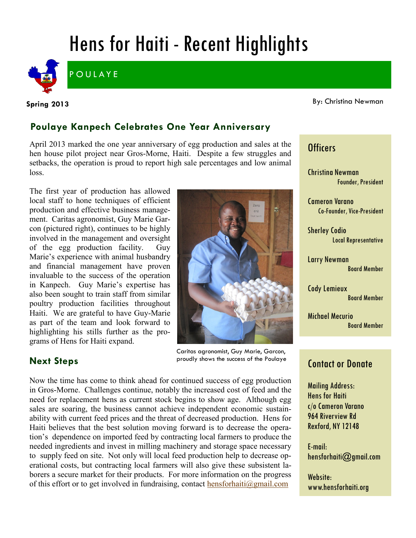# Hens for Haiti - Recent Highlights



**POULAYE** 

**Spring 2013**

#### By: Christina Newman

#### **Poulaye Kanpech Celebrates One Year Anniversary**

April 2013 marked the one year anniversary of egg production and sales at the hen house pilot project near Gros-Morne, Haiti. Despite a few struggles and setbacks, the operation is proud to report high sale percentages and low animal loss.

The first year of production has allowed local staff to hone techniques of efficient production and effective business management. Caritas agronomist, Guy Marie Garcon (pictured right), continues to be highly involved in the management and oversight of the egg production facility. Guy Marie's experience with animal husbandry and financial management have proven invaluable to the success of the operation in Kanpech. Guy Marie's expertise has also been sought to train staff from similar poultry production facilities throughout Haiti. We are grateful to have Guy-Marie as part of the team and look forward to highlighting his stills further as the programs of Hens for Haiti expand.



Caritas agronomist, Guy Marie, Garcon, proudly shows the success of the Poulaye

#### **Next Steps**

Now the time has come to think ahead for continued success of egg production in Gros-Morne. Challenges continue, notably the increased cost of feed and the need for replacement hens as current stock begins to show age. Although egg sales are soaring, the business cannot achieve independent economic sustainability with current feed prices and the threat of decreased production. Hens for Haiti believes that the best solution moving forward is to decrease the operation's dependence on imported feed by contracting local farmers to produce the needed ingredients and invest in milling machinery and storage space necessary to supply feed on site. Not only will local feed production help to decrease operational costs, but contracting local farmers will also give these subsistent laborers a secure market for their products. For more information on the progress of this effort or to get involved in fundraising, contact [hensforhaiti@gmail.com](mailto:hensforhaiti@gmail.com?subject=Local%20Feed%20Production%20Inquiry)

### **Officers**

Christina Newman Founder, President

Cameron Varano Co-Founder, Vice-President

Sherley Codio Local Representative

Larry Newman Board Member

Cody Lemieux Board Member

Michael Mecurio Board Member

#### Contact or Donate

Mailing Address: Hens for Haiti c/o Cameron Varano 964 Riverview Rd Rexford, NY 12148

E-mail: hensforhaiti@gmail.com

Website: www.hensforhaiti.org